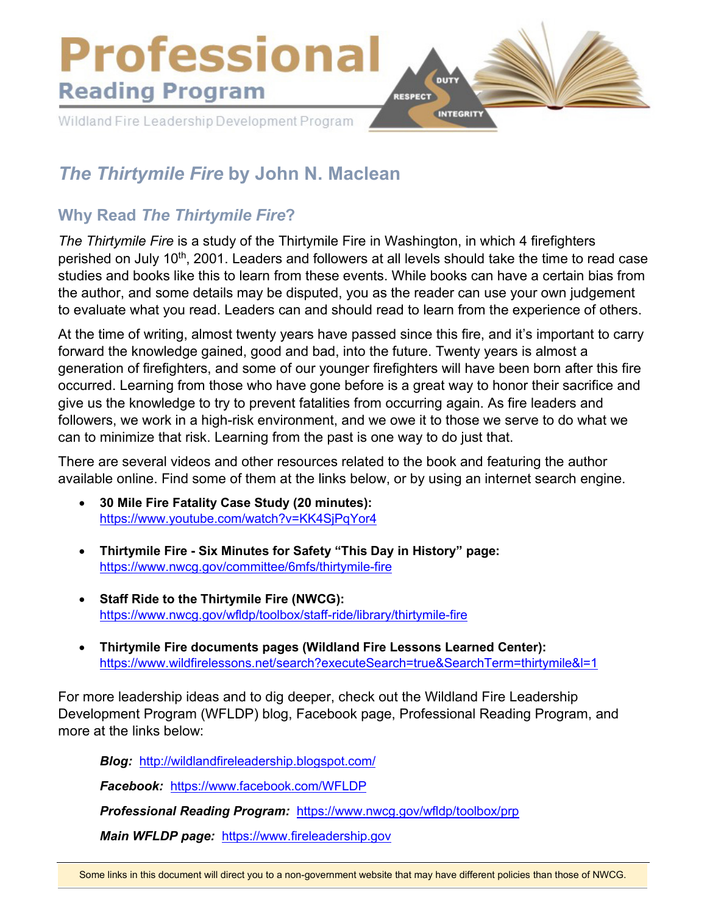

## *The Thirtymile Fire* **by John N. Maclean**

## **Why Read** *The Thirtymile Fire***?**

*The Thirtymile Fire* is a study of the Thirtymile Fire in Washington, in which 4 firefighters perished on July 10<sup>th</sup>, 2001. Leaders and followers at all levels should take the time to read case studies and books like this to learn from these events. While books can have a certain bias from the author, and some details may be disputed, you as the reader can use your own judgement to evaluate what you read. Leaders can and should read to learn from the experience of others.

At the time of writing, almost twenty years have passed since this fire, and it's important to carry forward the knowledge gained, good and bad, into the future. Twenty years is almost a generation of firefighters, and some of our younger firefighters will have been born after this fire occurred. Learning from those who have gone before is a great way to honor their sacrifice and give us the knowledge to try to prevent fatalities from occurring again. As fire leaders and followers, we work in a high-risk environment, and we owe it to those we serve to do what we can to minimize that risk. Learning from the past is one way to do just that.

There are several videos and other resources related to the book and featuring the author available online. Find some of them at the links below, or by using an internet search engine.

- **30 Mile Fire Fatality Case Study (20 minutes):**  <https://www.youtube.com/watch?v=KK4SjPqYor4>
- **Thirtymile Fire Six Minutes for Safety "This Day in History" page:**  <https://www.nwcg.gov/committee/6mfs/thirtymile-fire>
- **Staff Ride to the Thirtymile Fire (NWCG):**  <https://www.nwcg.gov/wfldp/toolbox/staff-ride/library/thirtymile-fire>
- **Thirtymile Fire documents pages (Wildland Fire Lessons Learned Center):**  <https://www.wildfirelessons.net/search?executeSearch=true&SearchTerm=thirtymile&l=1>

For more leadership ideas and to dig deeper, check out the Wildland Fire Leadership Development Program (WFLDP) blog, Facebook page, Professional Reading Program, and more at the links below:

*Blog:* <http://wildlandfireleadership.blogspot.com/>

*Facebook:* <https://www.facebook.com/WFLDP>

*Professional Reading Program:* <https://www.nwcg.gov/wfldp/toolbox/prp>

*Main WFLDP page:* [https://www.fireleadership.gov](https://www.fireleadership.gov/)